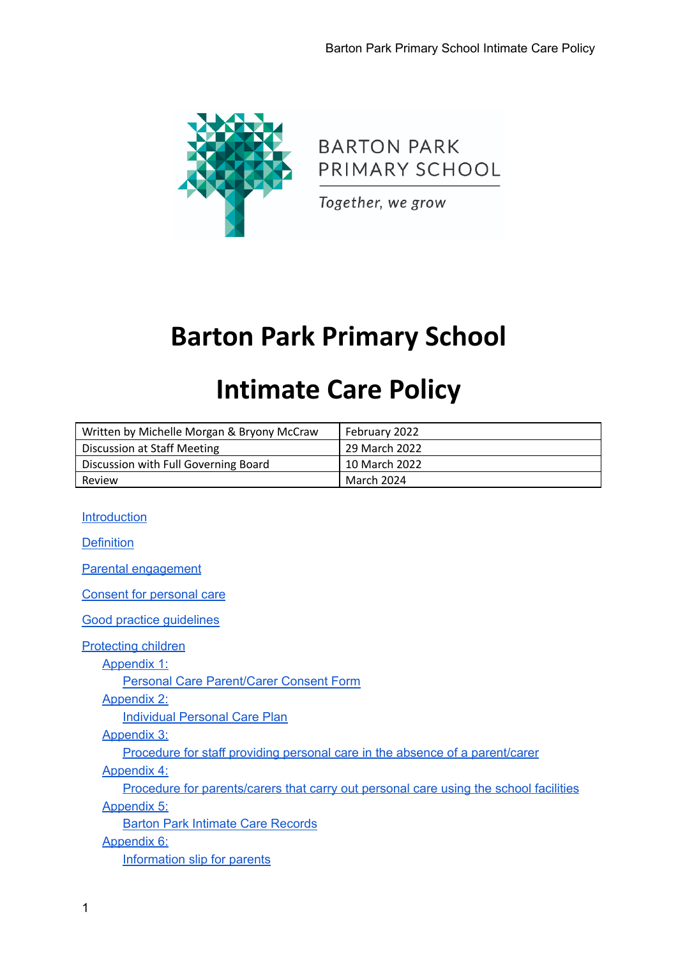

**BARTON PARK** PRIMARY SCHOOL

Together, we grow

# **Barton Park Primary School**

# **Intimate Care Policy**

| Written by Michelle Morgan & Bryony McCraw | February 2022              |
|--------------------------------------------|----------------------------|
| Discussion at Staff Meeting                | 29 March 2022              |
| Discussion with Full Governing Board       | <sup>1</sup> 10 March 2022 |
| Review                                     | March 2024                 |

#### [Introduction](#page-1-0)

**[Definition](#page-1-1)** 

Parental [engagement](#page-2-0)

Consent for [personal](#page-2-1) care

Good practice [guidelines](#page-3-0)

[Protecting](#page-3-1) children

[Appendix](#page-4-0) 1:

Personal Care [Parent/Carer](#page-4-1) Consent Form

[Appendix](#page-5-0) 2:

[Individual](#page-5-1) Personal Care Plan

[Appendix](#page-6-0) 3:

Procedure for staff providing personal care in the absence of a [parent/carer](#page-6-1)

[Appendix](#page-7-0) 4:

Procedure for [parents/carers](#page-7-1) that carry out personal care using the school facilities [Appendix](#page-8-0) 5:

Barton Park Intimate Care [Records](#page-8-1)

[Appendix](#page-9-0) 6:

[Information](#page-9-1) slip for parents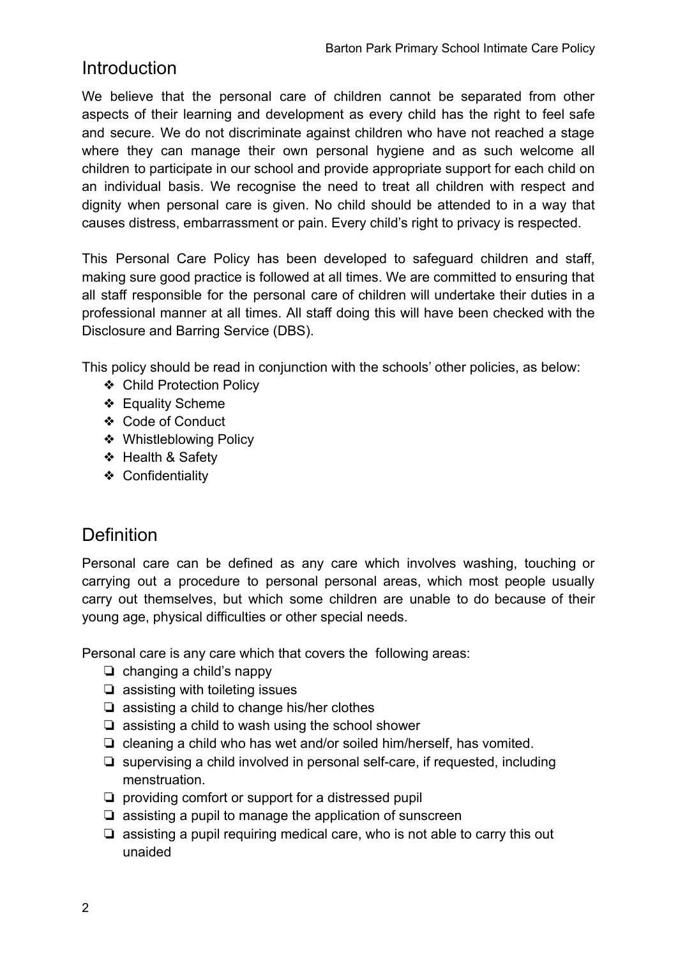### <span id="page-1-0"></span>**Introduction**

We believe that the personal care of children cannot be separated from other aspects of their learning and development as every child has the right to feel safe and secure. We do not discriminate against children who have not reached a stage where they can manage their own personal hygiene and as such welcome all children to participate in our school and provide appropriate support for each child on an individual basis. We recognise the need to treat all children with respect and dignity when personal care is given. No child should be attended to in a way that causes distress, embarrassment or pain. Every child's right to privacy is respected.

This Personal Care Policy has been developed to safeguard children and staff, making sure good practice is followed at all times. We are committed to ensuring that all staff responsible for the personal care of children will undertake their duties in a professional manner at all times. All staff doing this will have been checked with the Disclosure and Barring Service (DBS).

This policy should be read in conjunction with the schools' other policies, as below:

- ❖ Child Protection Policy
- ❖ Equality Scheme
- ❖ Code of Conduct
- ❖ Whistleblowing Policy
- ❖ Health & Safety
- ❖ Confidentiality

## <span id="page-1-1"></span>**Definition**

Personal care can be defined as any care which involves washing, touching or carrying out a procedure to personal personal areas, which most people usually carry out themselves, but which some children are unable to do because of their young age, physical difficulties or other special needs.

Personal care is any care which that covers the following areas:

- ❏ changing a child's nappy
- ❏ assisting with toileting issues
- ❏ assisting a child to change his/her clothes
- ❏ assisting a child to wash using the school shower
- ❏ cleaning a child who has wet and/or soiled him/herself, has vomited.
- ❏ supervising a child involved in personal self-care, if requested, including menstruation.
- ❏ providing comfort or support for a distressed pupil
- ❏ assisting a pupil to manage the application of sunscreen
- ❏ assisting a pupil requiring medical care, who is not able to carry this out unaided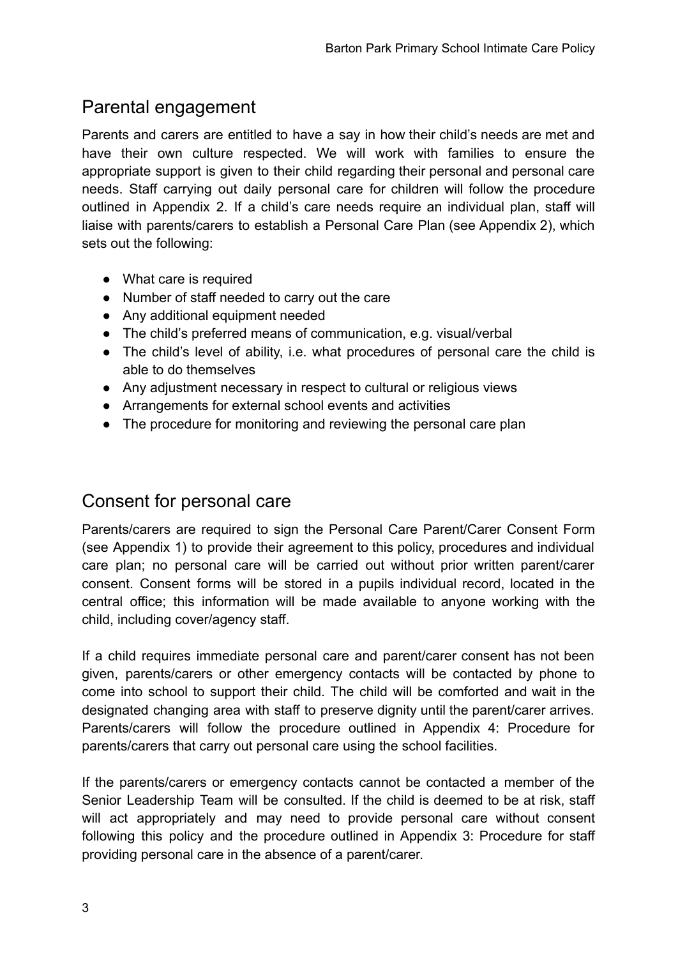## <span id="page-2-0"></span>Parental engagement

Parents and carers are entitled to have a say in how their child's needs are met and have their own culture respected. We will work with families to ensure the appropriate support is given to their child regarding their personal and personal care needs. Staff carrying out daily personal care for children will follow the procedure outlined in Appendix 2. If a child's care needs require an individual plan, staff will liaise with parents/carers to establish a Personal Care Plan (see Appendix 2), which sets out the following:

- What care is required
- Number of staff needed to carry out the care
- Any additional equipment needed
- The child's preferred means of communication, e.g. visual/verbal
- The child's level of ability, i.e. what procedures of personal care the child is able to do themselves
- Any adjustment necessary in respect to cultural or religious views
- Arrangements for external school events and activities
- The procedure for monitoring and reviewing the personal care plan

## <span id="page-2-1"></span>Consent for personal care

Parents/carers are required to sign the Personal Care Parent/Carer Consent Form (see Appendix 1) to provide their agreement to this policy, procedures and individual care plan; no personal care will be carried out without prior written parent/carer consent. Consent forms will be stored in a pupils individual record, located in the central office; this information will be made available to anyone working with the child, including cover/agency staff.

If a child requires immediate personal care and parent/carer consent has not been given, parents/carers or other emergency contacts will be contacted by phone to come into school to support their child. The child will be comforted and wait in the designated changing area with staff to preserve dignity until the parent/carer arrives. Parents/carers will follow the procedure outlined in Appendix 4: Procedure for parents/carers that carry out personal care using the school facilities.

If the parents/carers or emergency contacts cannot be contacted a member of the Senior Leadership Team will be consulted. If the child is deemed to be at risk, staff will act appropriately and may need to provide personal care without consent following this policy and the procedure outlined in Appendix 3: Procedure for staff providing personal care in the absence of a parent/carer.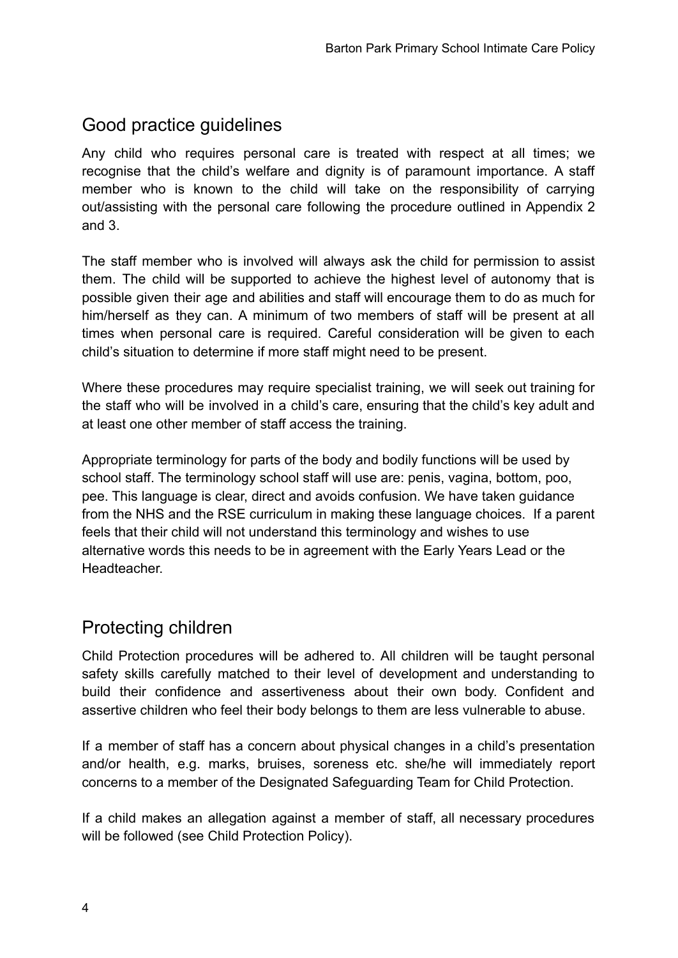## <span id="page-3-0"></span>Good practice guidelines

Any child who requires personal care is treated with respect at all times; we recognise that the child's welfare and dignity is of paramount importance. A staff member who is known to the child will take on the responsibility of carrying out/assisting with the personal care following the procedure outlined in Appendix 2 and 3.

The staff member who is involved will always ask the child for permission to assist them. The child will be supported to achieve the highest level of autonomy that is possible given their age and abilities and staff will encourage them to do as much for him/herself as they can. A minimum of two members of staff will be present at all times when personal care is required. Careful consideration will be given to each child's situation to determine if more staff might need to be present.

Where these procedures may require specialist training, we will seek out training for the staff who will be involved in a child's care, ensuring that the child's key adult and at least one other member of staff access the training.

Appropriate terminology for parts of the body and bodily functions will be used by school staff. The terminology school staff will use are: penis, vagina, bottom, poo, pee. This language is clear, direct and avoids confusion. We have taken guidance from the NHS and the RSE curriculum in making these language choices. If a parent feels that their child will not understand this terminology and wishes to use alternative words this needs to be in agreement with the Early Years Lead or the **Headteacher** 

## <span id="page-3-1"></span>Protecting children

Child Protection procedures will be adhered to. All children will be taught personal safety skills carefully matched to their level of development and understanding to build their confidence and assertiveness about their own body. Confident and assertive children who feel their body belongs to them are less vulnerable to abuse.

If a member of staff has a concern about physical changes in a child's presentation and/or health, e.g. marks, bruises, soreness etc. she/he will immediately report concerns to a member of the Designated Safeguarding Team for Child Protection.

If a child makes an allegation against a member of staff, all necessary procedures will be followed (see Child Protection Policy).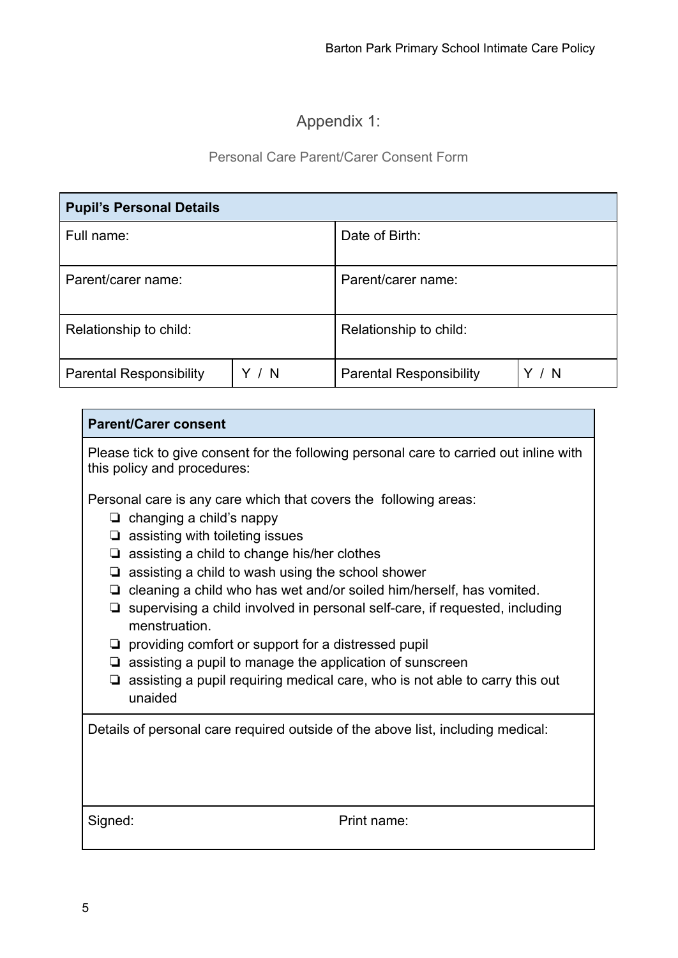#### Appendix 1:

#### Personal Care Parent/Carer Consent Form

<span id="page-4-1"></span><span id="page-4-0"></span>

| <b>Pupil's Personal Details</b> |       |                                |     |  |  |
|---------------------------------|-------|--------------------------------|-----|--|--|
| Full name:                      |       | Date of Birth:                 |     |  |  |
| Parent/carer name:              |       | Parent/carer name:             |     |  |  |
| Relationship to child:          |       | Relationship to child:         |     |  |  |
| <b>Parental Responsibility</b>  | Y / N | <b>Parental Responsibility</b> | - N |  |  |

#### **Parent/Carer consent**

Please tick to give consent for the following personal care to carried out inline with this policy and procedures:

Personal care is any care which that covers the following areas:

- ❏ changing a child's nappy
- ❏ assisting with toileting issues
- ❏ assisting a child to change his/her clothes
- ❏ assisting a child to wash using the school shower
- ❏ cleaning a child who has wet and/or soiled him/herself, has vomited.
- ❏ supervising a child involved in personal self-care, if requested, including menstruation.
- ❏ providing comfort or support for a distressed pupil
- ❏ assisting a pupil to manage the application of sunscreen
- ❏ assisting a pupil requiring medical care, who is not able to carry this out unaided

Details of personal care required outside of the above list, including medical:

Signed: Print name: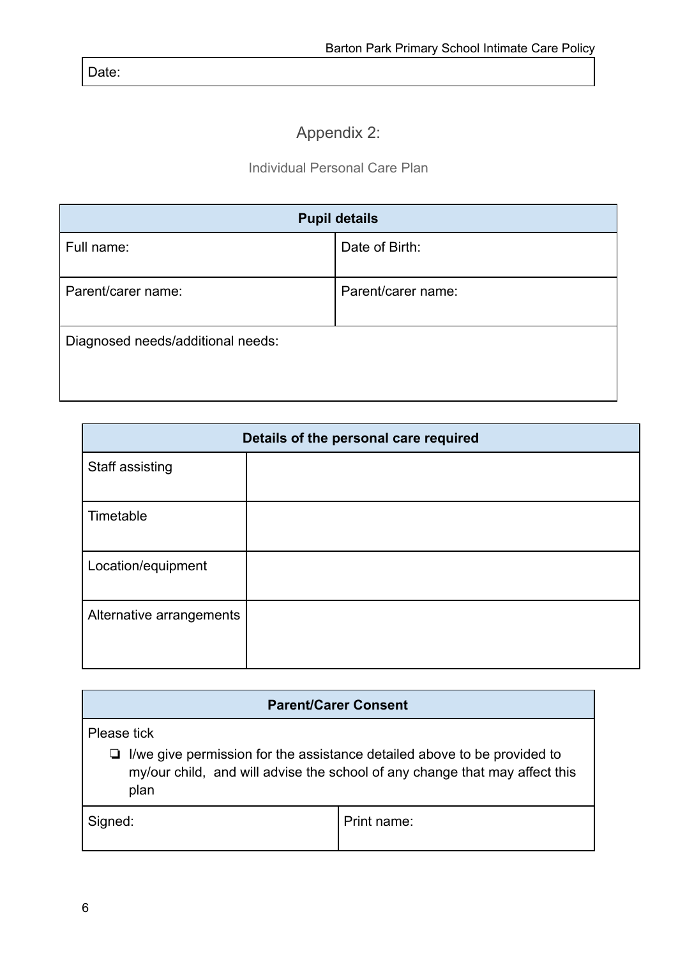<span id="page-5-0"></span>Date:

## Appendix 2:

#### Individual Personal Care Plan

<span id="page-5-1"></span>

| <b>Pupil details</b>              |                    |  |  |
|-----------------------------------|--------------------|--|--|
| Full name:                        | Date of Birth:     |  |  |
| Parent/carer name:                | Parent/carer name: |  |  |
| Diagnosed needs/additional needs: |                    |  |  |

| Details of the personal care required |  |  |  |  |
|---------------------------------------|--|--|--|--|
| Staff assisting                       |  |  |  |  |
| Timetable                             |  |  |  |  |
| Location/equipment                    |  |  |  |  |
| Alternative arrangements              |  |  |  |  |

| <b>Parent/Carer Consent</b>                                                                                                                                            |             |  |  |  |
|------------------------------------------------------------------------------------------------------------------------------------------------------------------------|-------------|--|--|--|
| Please tick                                                                                                                                                            |             |  |  |  |
| $\Box$ I/we give permission for the assistance detailed above to be provided to<br>my/our child, and will advise the school of any change that may affect this<br>plan |             |  |  |  |
| Signed:                                                                                                                                                                | Print name: |  |  |  |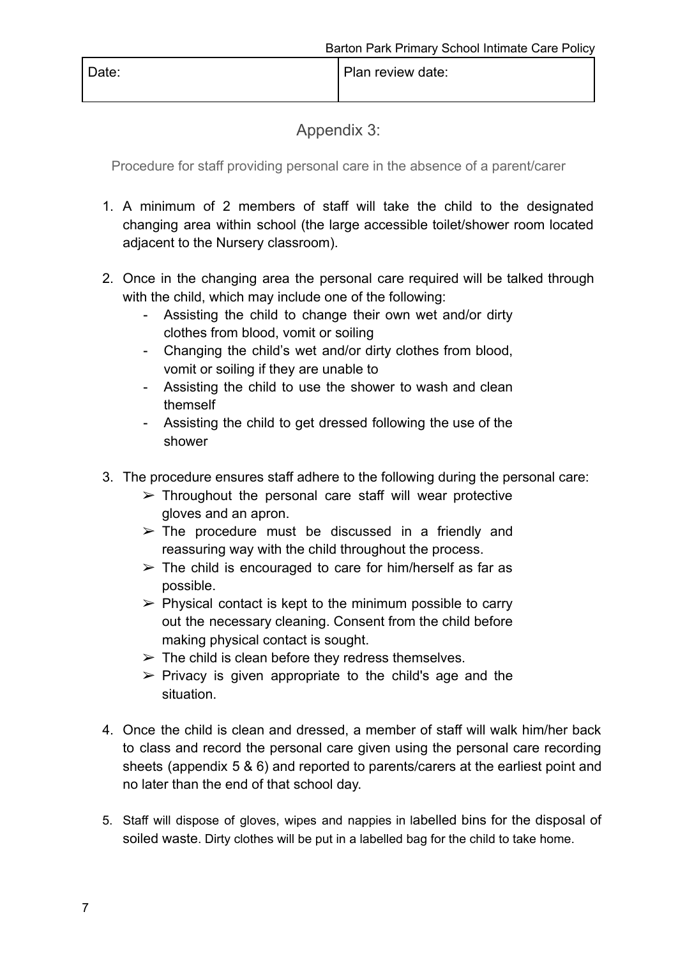<span id="page-6-0"></span>Date: Date: Plan review date:

Appendix 3:

<span id="page-6-1"></span>Procedure for staff providing personal care in the absence of a parent/carer

- 1. A minimum of 2 members of staff will take the child to the designated changing area within school (the large accessible toilet/shower room located adjacent to the Nursery classroom).
- 2. Once in the changing area the personal care required will be talked through with the child, which may include one of the following:
	- Assisting the child to change their own wet and/or dirty clothes from blood, vomit or soiling
	- Changing the child's wet and/or dirty clothes from blood, vomit or soiling if they are unable to
	- Assisting the child to use the shower to wash and clean themself
	- Assisting the child to get dressed following the use of the shower
- 3. The procedure ensures staff adhere to the following during the personal care:
	- $\triangleright$  Throughout the personal care staff will wear protective gloves and an apron.
	- $\triangleright$  The procedure must be discussed in a friendly and reassuring way with the child throughout the process.
	- $\triangleright$  The child is encouraged to care for him/herself as far as possible.
	- $\triangleright$  Physical contact is kept to the minimum possible to carry out the necessary cleaning. Consent from the child before making physical contact is sought.
	- $\triangleright$  The child is clean before they redress themselves.
	- $\triangleright$  Privacy is given appropriate to the child's age and the situation.
- 4. Once the child is clean and dressed, a member of staff will walk him/her back to class and record the personal care given using the personal care recording sheets (appendix 5 & 6) and reported to parents/carers at the earliest point and no later than the end of that school day.
- 5. Staff will dispose of gloves, wipes and nappies in labelled bins for the disposal of soiled waste. Dirty clothes will be put in a labelled bag for the child to take home.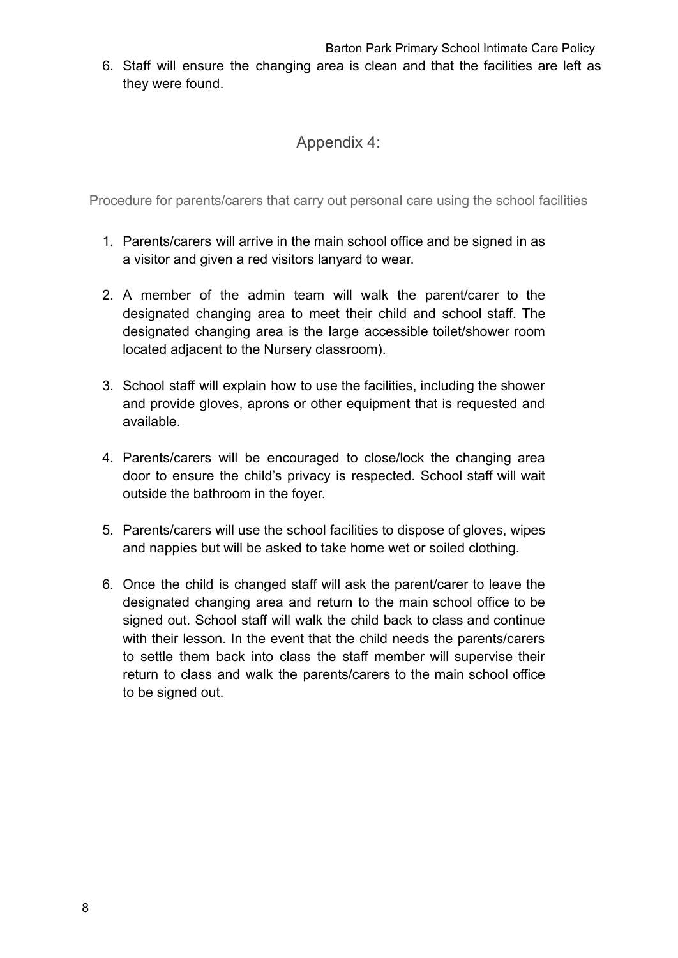Barton Park Primary School Intimate Care Policy

<span id="page-7-0"></span>6. Staff will ensure the changing area is clean and that the facilities are left as they were found.

#### Appendix 4:

<span id="page-7-1"></span>Procedure for parents/carers that carry out personal care using the school facilities

- 1. Parents/carers will arrive in the main school office and be signed in as a visitor and given a red visitors lanyard to wear.
- 2. A member of the admin team will walk the parent/carer to the designated changing area to meet their child and school staff. The designated changing area is the large accessible toilet/shower room located adjacent to the Nursery classroom).
- 3. School staff will explain how to use the facilities, including the shower and provide gloves, aprons or other equipment that is requested and available.
- 4. Parents/carers will be encouraged to close/lock the changing area door to ensure the child's privacy is respected. School staff will wait outside the bathroom in the foyer.
- 5. Parents/carers will use the school facilities to dispose of gloves, wipes and nappies but will be asked to take home wet or soiled clothing.
- 6. Once the child is changed staff will ask the parent/carer to leave the designated changing area and return to the main school office to be signed out. School staff will walk the child back to class and continue with their lesson. In the event that the child needs the parents/carers to settle them back into class the staff member will supervise their return to class and walk the parents/carers to the main school office to be signed out.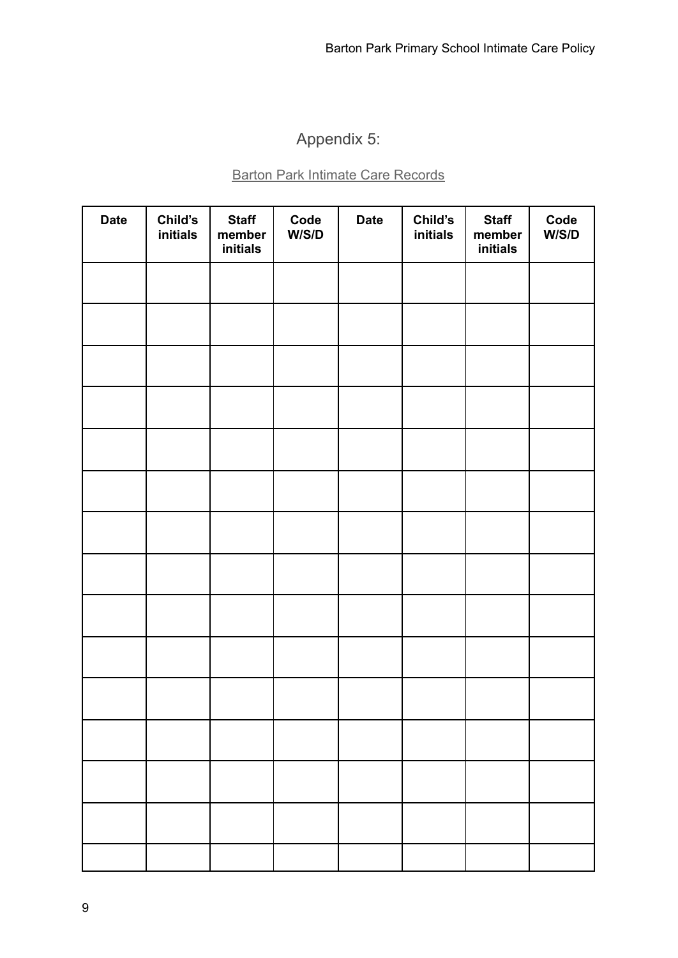## Appendix 5:

#### Barton Park Intimate Care Records

<span id="page-8-1"></span><span id="page-8-0"></span>

| <b>Date</b> | Child's<br>initials | <b>Staff</b><br>member<br>initials | Code<br>W/S/D | <b>Date</b> | Child's<br>initials | <b>Staff</b><br>member<br>initials | Code<br>W/S/D |
|-------------|---------------------|------------------------------------|---------------|-------------|---------------------|------------------------------------|---------------|
|             |                     |                                    |               |             |                     |                                    |               |
|             |                     |                                    |               |             |                     |                                    |               |
|             |                     |                                    |               |             |                     |                                    |               |
|             |                     |                                    |               |             |                     |                                    |               |
|             |                     |                                    |               |             |                     |                                    |               |
|             |                     |                                    |               |             |                     |                                    |               |
|             |                     |                                    |               |             |                     |                                    |               |
|             |                     |                                    |               |             |                     |                                    |               |
|             |                     |                                    |               |             |                     |                                    |               |
|             |                     |                                    |               |             |                     |                                    |               |
|             |                     |                                    |               |             |                     |                                    |               |
|             |                     |                                    |               |             |                     |                                    |               |
|             |                     |                                    |               |             |                     |                                    |               |
|             |                     |                                    |               |             |                     |                                    |               |
|             |                     |                                    |               |             |                     |                                    |               |